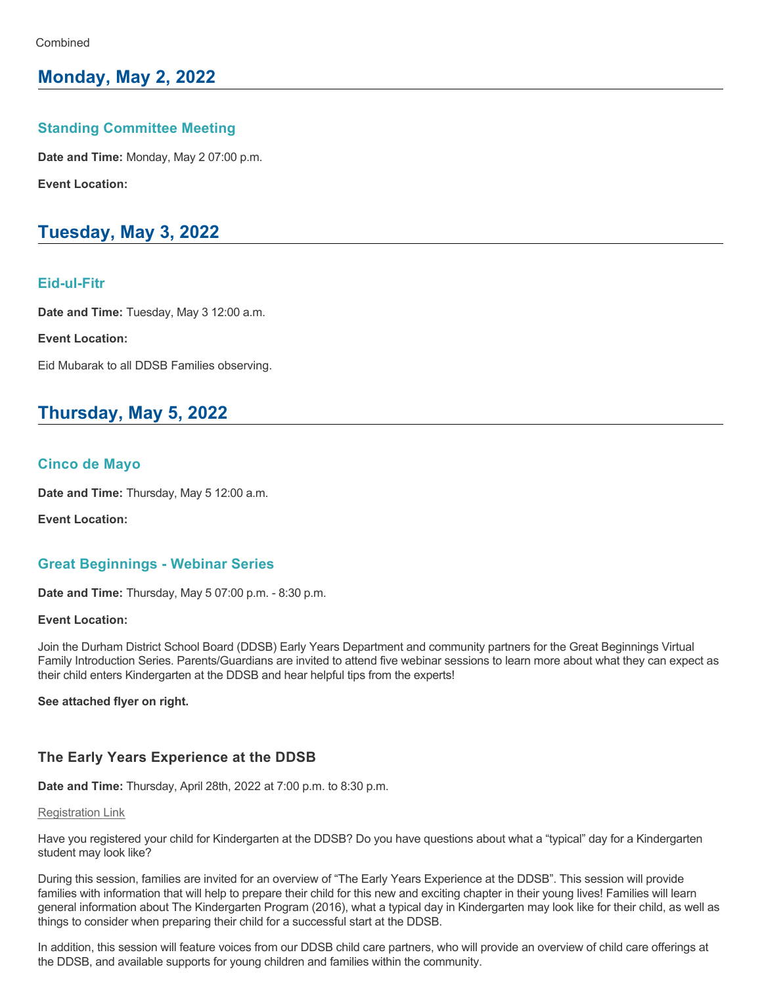## **Monday, May 2, 2022**

### **Standing Committee Meeting**

**Date and Time:** Monday, May 2 07:00 p.m.

**Event Location:**

# **Tuesday, May 3, 2022**

### **Eid-ul-Fitr**

**Date and Time:** Tuesday, May 3 12:00 a.m.

**Event Location:**

Eid Mubarak to all DDSB Families observing.

# **Thursday, May 5, 2022**

### **Cinco de Mayo**

**Date and Time:** Thursday, May 5 12:00 a.m.

**Event Location:**

## **Great Beginnings Webinar Series**

**Date and Time:** Thursday, May 5 07:00 p.m. - 8:30 p.m.

#### **Event Location:**

Join the Durham District School Board (DDSB) Early Years Department and community partners for the Great Beginnings Virtual Family Introduction Series. Parents/Guardians are invited to attend five webinar sessions to learn more about what they can expect as their child enters Kindergarten at the DDSB and hear helpful tips from the experts!

**See attached flyer on right.**

## **The Early Years Experience at the DDSB**

**Date and Time:** Thursday, April 28th, 2022 at 7:00 p.m. to 8:30 p.m.

#### [Registration Link](https://ddsb.zoom.us/webinar/register/WN_Jen9GfcbRHe2IPWgWIkAzg)

Have you registered your child for Kindergarten at the DDSB? Do you have questions about what a "typical" day for a Kindergarten student may look like?

During this session, families are invited for an overview of "The Early Years Experience at the DDSB". This session will provide families with information that will help to prepare their child for this new and exciting chapter in their young lives! Families will learn general information about The Kindergarten Program (2016), what a typical day in Kindergarten may look like for their child, as well as things to consider when preparing their child for a successful start at the DDSB.

In addition, this session will feature voices from our DDSB child care partners, who will provide an overview of child care offerings at the DDSB, and available supports for young children and families within the community.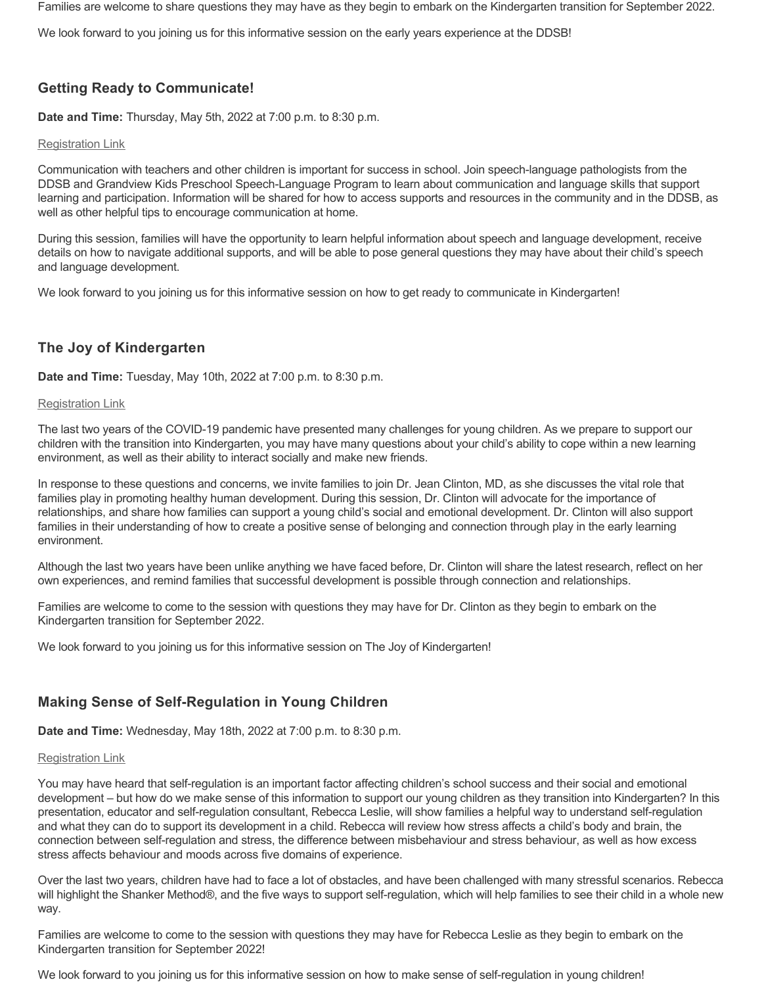Families are welcome to share questions they may have as they begin to embark on the Kindergarten transition for September 2022.

We look forward to you joining us for this informative session on the early years experience at the DDSB!

## **Getting Ready to Communicate!**

**Date and Time:** Thursday, May 5th, 2022 at 7:00 p.m. to 8:30 p.m.

#### [Registration Link](https://ddsb.zoom.us/webinar/register/WN_2j_RNYiqTmiZo9eT_nLk1Q)

Communication with teachers and other children is important for success in school. Join speech-language pathologists from the DDSB and Grandview Kids Preschool Speech-Language Program to learn about communication and language skills that support learning and participation. Information will be shared for how to access supports and resources in the community and in the DDSB, as well as other helpful tips to encourage communication at home.

During this session, families will have the opportunity to learn helpful information about speech and language development, receive details on how to navigate additional supports, and will be able to pose general questions they may have about their child's speech and language development.

We look forward to you joining us for this informative session on how to get ready to communicate in Kindergarten!

## **The Joy of Kindergarten**

**Date and Time:** Tuesday, May 10th, 2022 at 7:00 p.m. to 8:30 p.m.

#### [Registration Link](https://ddsb.zoom.us/webinar/register/WN_WvSbwnhaT7yWViHDH83sZQ)

The last two years of the COVID-19 pandemic have presented many challenges for young children. As we prepare to support our children with the transition into Kindergarten, you may have many questions about your child's ability to cope within a new learning environment, as well as their ability to interact socially and make new friends.

In response to these questions and concerns, we invite families to join Dr. Jean Clinton, MD, as she discusses the vital role that families play in promoting healthy human development. During this session, Dr. Clinton will advocate for the importance of relationships, and share how families can support a young child's social and emotional development. Dr. Clinton will also support families in their understanding of how to create a positive sense of belonging and connection through play in the early learning environment.

Although the last two years have been unlike anything we have faced before, Dr. Clinton will share the latest research, reflect on her own experiences, and remind families that successful development is possible through connection and relationships.

Families are welcome to come to the session with questions they may have for Dr. Clinton as they begin to embark on the Kindergarten transition for September 2022.

We look forward to you joining us for this informative session on The Joy of Kindergarten!

## **Making Sense of Self-Regulation in Young Children**

**Date and Time:** Wednesday, May 18th, 2022 at 7:00 p.m. to 8:30 p.m.

#### [Registration Link](https://ddsb.zoom.us/webinar/register/WN_X9GiEYp4Tn-hS6nh0_zQXw)

You may have heard that self-regulation is an important factor affecting children's school success and their social and emotional development – but how do we make sense of this information to support our young children as they transition into Kindergarten? In this presentation, educator and self-regulation consultant, Rebecca Leslie, will show families a helpful way to understand self-regulation and what they can do to support its development in a child. Rebecca will review how stress affects a child's body and brain, the connection between selfregulation and stress, the difference between misbehaviour and stress behaviour, as well as how excess stress affects behaviour and moods across five domains of experience.

Over the last two years, children have had to face a lot of obstacles, and have been challenged with many stressful scenarios. Rebecca will highlight the Shanker Method®, and the five ways to support self-regulation, which will help families to see their child in a whole new way.

Families are welcome to come to the session with questions they may have for Rebecca Leslie as they begin to embark on the Kindergarten transition for September 2022!

We look forward to you joining us for this informative session on how to make sense of self-regulation in young children!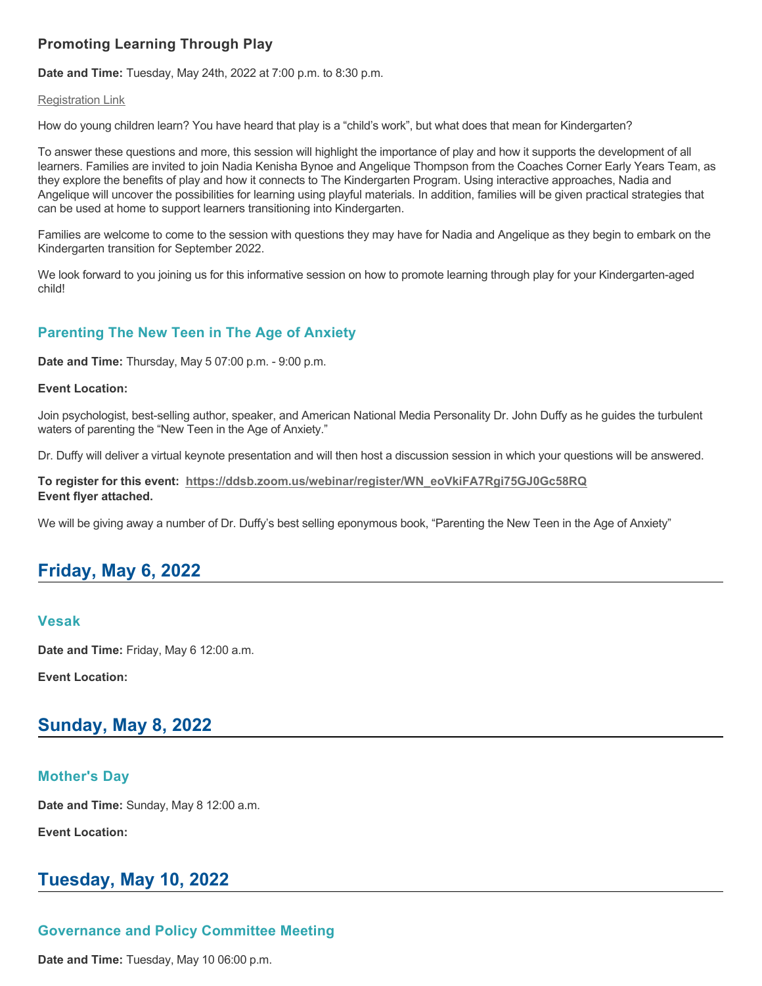## **Promoting Learning Through Play**

**Date and Time:** Tuesday, May 24th, 2022 at 7:00 p.m. to 8:30 p.m.

#### [Registration Link](https://ddsb.zoom.us/webinar/register/WN_jxUl2E3hRKCReS2DRiGEAQ)

How do young children learn? You have heard that play is a "child's work", but what does that mean for Kindergarten?

To answer these questions and more, this session will highlight the importance of play and how it supports the development of all learners. Families are invited to join Nadia Kenisha Bynoe and Angelique Thompson from the Coaches Corner Early Years Team, as they explore the benefits of play and how it connects to The Kindergarten Program. Using interactive approaches, Nadia and Angelique will uncover the possibilities for learning using playful materials. In addition, families will be given practical strategies that can be used at home to support learners transitioning into Kindergarten.

Families are welcome to come to the session with questions they may have for Nadia and Angelique as they begin to embark on the Kindergarten transition for September 2022.

We look forward to you joining us for this informative session on how to promote learning through play for your Kindergarten-aged child!

## **Parenting The New Teen in The Age of Anxiety**

**Date and Time:** Thursday, May 5 07:00 p.m. 9:00 p.m.

#### **Event Location:**

Join psychologist, best-selling author, speaker, and American National Media Personality Dr. John Duffy as he guides the turbulent waters of parenting the "New Teen in the Age of Anxiety."

Dr. Duffy will deliver a virtual keynote presentation and will then host a discussion session in which your questions will be answered.

#### **To register for this event:  [https://ddsb.zoom.us/webinar/register/WN\\_eoVkiFA7Rgi75GJ0Gc58RQ](https://ddsb.zoom.us/webinar/register/WN_eoVkiFA7Rgi75GJ0Gc58RQ) Event flyer attached.**

We will be giving away a number of Dr. Duffy's best selling eponymous book, "Parenting the New Teen in the Age of Anxiety"

# **Friday, May 6, 2022**

#### **Vesak**

**Date and Time:** Friday, May 6 12:00 a.m.

**Event Location:**

## **Sunday, May 8, 2022**

### **Mother's Day**

**Date and Time:** Sunday, May 8 12:00 a.m.

**Event Location:**

# **Tuesday, May 10, 2022**

## **Governance and Policy Committee Meeting**

**Date and Time:** Tuesday, May 10 06:00 p.m.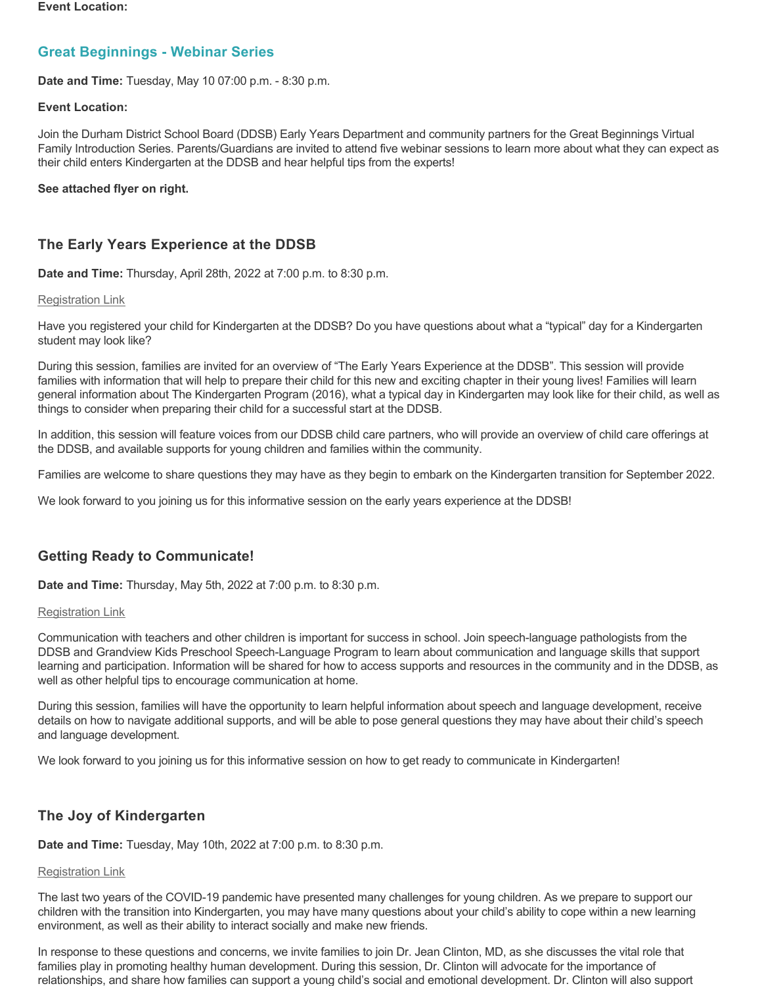#### **Event Location:**

## **Great Beginnings Webinar Series**

**Date and Time:** Tuesday, May 10 07:00 p.m. 8:30 p.m.

#### **Event Location:**

Join the Durham District School Board (DDSB) Early Years Department and community partners for the Great Beginnings Virtual Family Introduction Series. Parents/Guardians are invited to attend five webinar sessions to learn more about what they can expect as their child enters Kindergarten at the DDSB and hear helpful tips from the experts!

#### **See attached flyer on right.**

## **The Early Years Experience at the DDSB**

**Date and Time:** Thursday, April 28th, 2022 at 7:00 p.m. to 8:30 p.m.

#### [Registration Link](https://ddsb.zoom.us/webinar/register/WN_Jen9GfcbRHe2IPWgWIkAzg)

Have you registered your child for Kindergarten at the DDSB? Do you have questions about what a "typical" day for a Kindergarten student may look like?

During this session, families are invited for an overview of "The Early Years Experience at the DDSB". This session will provide families with information that will help to prepare their child for this new and exciting chapter in their young lives! Families will learn general information about The Kindergarten Program (2016), what a typical day in Kindergarten may look like for their child, as well as things to consider when preparing their child for a successful start at the DDSB.

In addition, this session will feature voices from our DDSB child care partners, who will provide an overview of child care offerings at the DDSB, and available supports for young children and families within the community.

Families are welcome to share questions they may have as they begin to embark on the Kindergarten transition for September 2022.

We look forward to you joining us for this informative session on the early years experience at the DDSB!

## **Getting Ready to Communicate!**

**Date and Time:** Thursday, May 5th, 2022 at 7:00 p.m. to 8:30 p.m.

#### [Registration Link](https://ddsb.zoom.us/webinar/register/WN_2j_RNYiqTmiZo9eT_nLk1Q)

Communication with teachers and other children is important for success in school. Join speech-language pathologists from the DDSB and Grandview Kids Preschool Speech-Language Program to learn about communication and language skills that support learning and participation. Information will be shared for how to access supports and resources in the community and in the DDSB, as well as other helpful tips to encourage communication at home.

During this session, families will have the opportunity to learn helpful information about speech and language development, receive details on how to navigate additional supports, and will be able to pose general questions they may have about their child's speech and language development.

We look forward to you joining us for this informative session on how to get ready to communicate in Kindergarten!

## **The Joy of Kindergarten**

**Date and Time:** Tuesday, May 10th, 2022 at 7:00 p.m. to 8:30 p.m.

### [Registration Link](https://ddsb.zoom.us/webinar/register/WN_WvSbwnhaT7yWViHDH83sZQ)

The last two years of the COVID-19 pandemic have presented many challenges for young children. As we prepare to support our children with the transition into Kindergarten, you may have many questions about your child's ability to cope within a new learning environment, as well as their ability to interact socially and make new friends.

In response to these questions and concerns, we invite families to join Dr. Jean Clinton, MD, as she discusses the vital role that families play in promoting healthy human development. During this session, Dr. Clinton will advocate for the importance of relationships, and share how families can support a young child's social and emotional development. Dr. Clinton will also support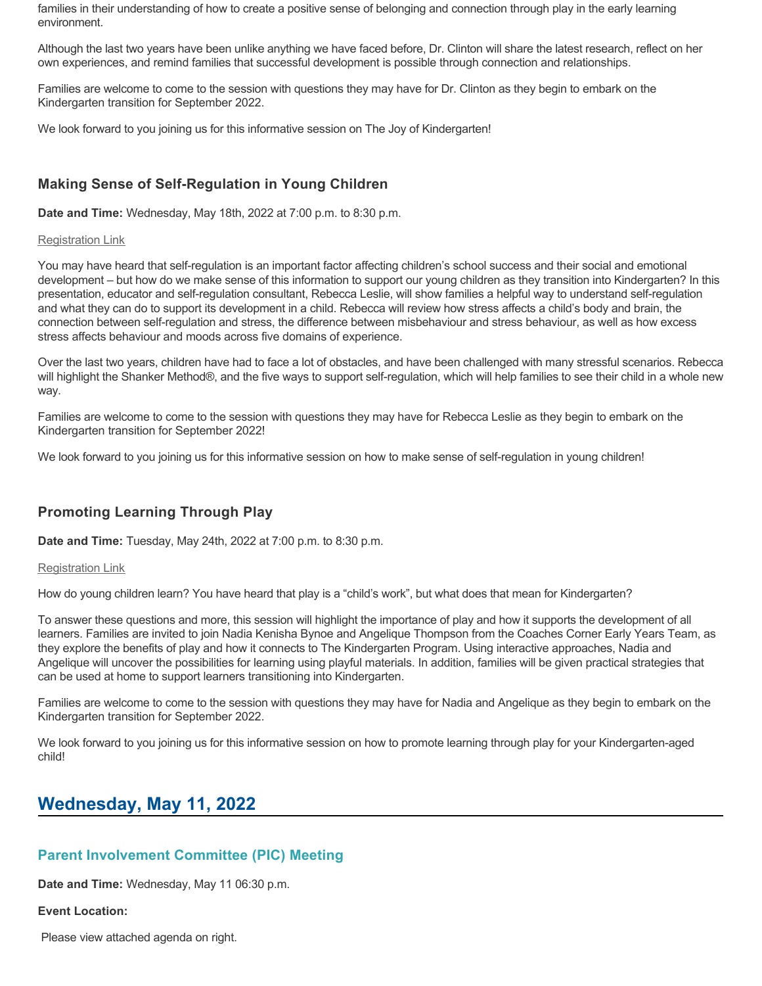families in their understanding of how to create a positive sense of belonging and connection through play in the early learning environment.

Although the last two years have been unlike anything we have faced before, Dr. Clinton will share the latest research, reflect on her own experiences, and remind families that successful development is possible through connection and relationships.

Families are welcome to come to the session with questions they may have for Dr. Clinton as they begin to embark on the Kindergarten transition for September 2022.

We look forward to you joining us for this informative session on The Joy of Kindergarten!

## **Making Sense of Self-Regulation in Young Children**

**Date and Time:** Wednesday, May 18th, 2022 at 7:00 p.m. to 8:30 p.m.

#### [Registration Link](https://ddsb.zoom.us/webinar/register/WN_X9GiEYp4Tn-hS6nh0_zQXw)

You may have heard that self-regulation is an important factor affecting children's school success and their social and emotional development – but how do we make sense of this information to support our young children as they transition into Kindergarten? In this presentation, educator and self-regulation consultant, Rebecca Leslie, will show families a helpful way to understand self-regulation and what they can do to support its development in a child. Rebecca will review how stress affects a child's body and brain, the connection between selfregulation and stress, the difference between misbehaviour and stress behaviour, as well as how excess stress affects behaviour and moods across five domains of experience.

Over the last two years, children have had to face a lot of obstacles, and have been challenged with many stressful scenarios. Rebecca will highlight the Shanker Method®, and the five ways to support self-regulation, which will help families to see their child in a whole new way.

Families are welcome to come to the session with questions they may have for Rebecca Leslie as they begin to embark on the Kindergarten transition for September 2022!

We look forward to you joining us for this informative session on how to make sense of self-regulation in young children!

## **Promoting Learning Through Play**

**Date and Time:** Tuesday, May 24th, 2022 at 7:00 p.m. to 8:30 p.m.

#### [Registration Link](https://ddsb.zoom.us/webinar/register/WN_jxUl2E3hRKCReS2DRiGEAQ)

How do young children learn? You have heard that play is a "child's work", but what does that mean for Kindergarten?

To answer these questions and more, this session will highlight the importance of play and how it supports the development of all learners. Families are invited to join Nadia Kenisha Bynoe and Angelique Thompson from the Coaches Corner Early Years Team, as they explore the benefits of play and how it connects to The Kindergarten Program. Using interactive approaches, Nadia and Angelique will uncover the possibilities for learning using playful materials. In addition, families will be given practical strategies that can be used at home to support learners transitioning into Kindergarten.

Families are welcome to come to the session with questions they may have for Nadia and Angelique as they begin to embark on the Kindergarten transition for September 2022.

We look forward to you joining us for this informative session on how to promote learning through play for your Kindergarten-aged child!

## **Wednesday, May 11, 2022**

## **Parent Involvement Committee (PIC) Meeting**

**Date and Time:** Wednesday, May 11 06:30 p.m.

#### **Event Location:**

Please view attached agenda on right.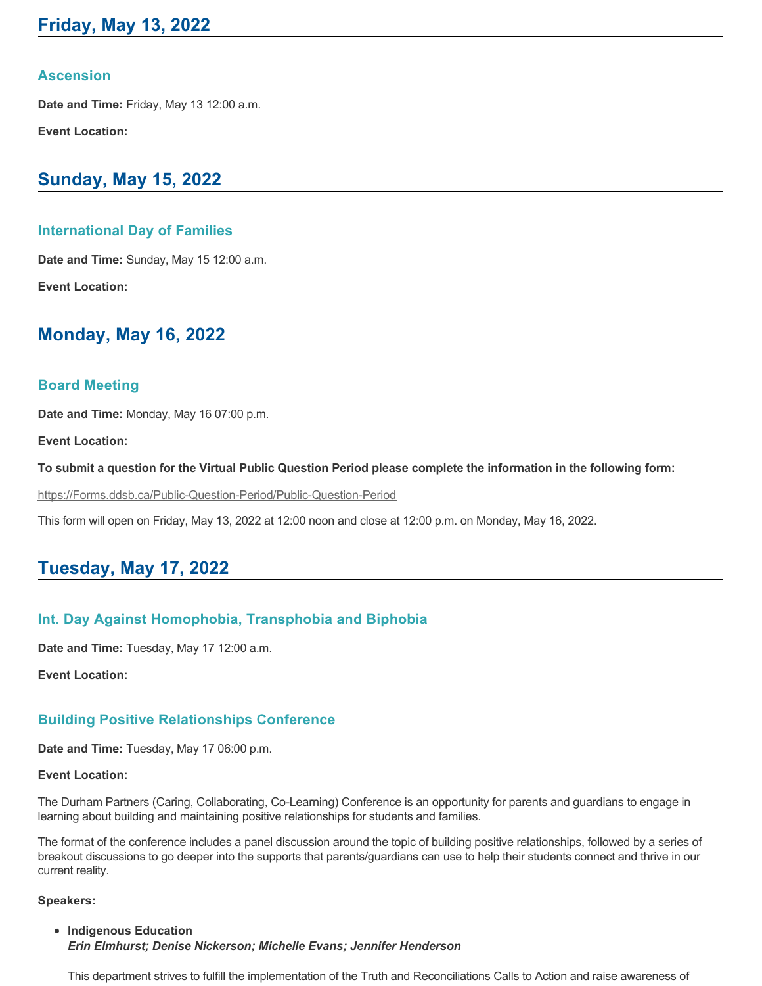# **Friday, May 13, 2022**

### **Ascension**

**Date and Time:** Friday, May 13 12:00 a.m.

**Event Location:**

## **Sunday, May 15, 2022**

### **International Day of Families**

**Date and Time:** Sunday, May 15 12:00 a.m. **Event Location:**

## **Monday, May 16, 2022**

### **Board Meeting**

**Date and Time:** Monday, May 16 07:00 p.m.

**Event Location:**

**To submit a question for the Virtual Public Question Period please complete the information in the following form:**

https://Forms.ddsb.ca/Public-Question-Period/Public-Question-Period

This form will open on Friday, May 13, 2022 at 12:00 noon and close at 12:00 p.m. on Monday, May 16, 2022.

## **Tuesday, May 17, 2022**

## **Int. Day Against Homophobia, Transphobia and Biphobia**

**Date and Time:** Tuesday, May 17 12:00 a.m.

**Event Location:**

## **Building Positive Relationships Conference**

**Date and Time:** Tuesday, May 17 06:00 p.m.

#### **Event Location:**

The Durham Partners (Caring, Collaborating, CoLearning) Conference is an opportunity for parents and guardians to engage in learning about building and maintaining positive relationships for students and families.

The format of the conference includes a panel discussion around the topic of building positive relationships, followed by a series of breakout discussions to go deeper into the supports that parents/guardians can use to help their students connect and thrive in our current reality.

#### **Speakers:**

**Indigenous Education** *Erin Elmhurst; Denise Nickerson; Michelle Evans; Jennifer Henderson*

This department strives to fulfill the implementation of the Truth and Reconciliations Calls to Action and raise awareness of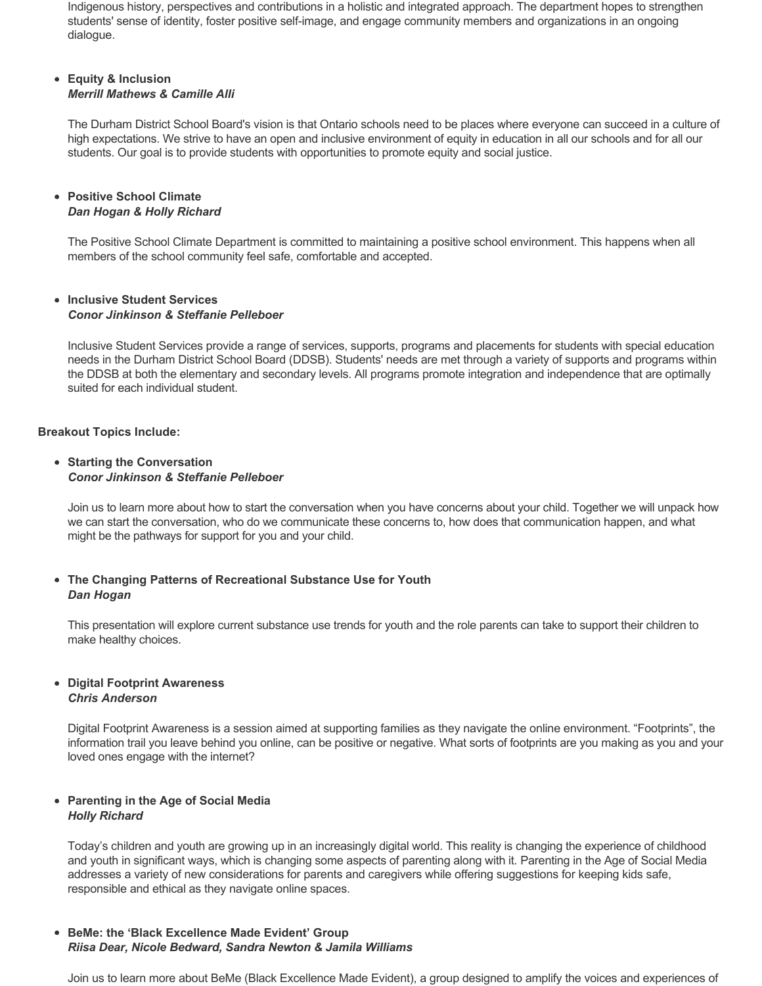Indigenous history, perspectives and contributions in a holistic and integrated approach. The department hopes to strengthen students' sense of identity, foster positive self-image, and engage community members and organizations in an ongoing dialogue.

#### **Equity & Inclusion** *Merrill Mathews & Camille Alli*

The Durham District School Board's vision is that Ontario schools need to be places where everyone can succeed in a culture of high expectations. We strive to have an open and inclusive environment of equity in education in all our schools and for all our students. Our goal is to provide students with opportunities to promote equity and social justice.

#### **Positive School Climate** *Dan Hogan & Holly Richard*

The Positive School Climate Department is committed to maintaining a positive school environment. This happens when all members of the school community feel safe, comfortable and accepted.

#### **Inclusive Student Services** *Conor Jinkinson & Steffanie Pelleboer*

Inclusive Student Services provide a range of services, supports, programs and placements for students with special education needs in the Durham District School Board (DDSB). Students' needs are met through a variety of supports and programs within the DDSB at both the elementary and secondary levels. All programs promote integration and independence that are optimally suited for each individual student.

#### **Breakout Topics Include:**

#### **Starting the Conversation** *Conor Jinkinson & Steffanie Pelleboer*

Join us to learn more about how to start the conversation when you have concerns about your child. Together we will unpack how we can start the conversation, who do we communicate these concerns to, how does that communication happen, and what might be the pathways for support for you and your child.

#### **The Changing Patterns of Recreational Substance Use for Youth** *Dan Hogan*

This presentation will explore current substance use trends for youth and the role parents can take to support their children to make healthy choices.

#### **Digital Footprint Awareness** *Chris Anderson*

Digital Footprint Awareness is a session aimed at supporting families as they navigate the online environment. "Footprints", the information trail you leave behind you online, can be positive or negative. What sorts of footprints are you making as you and your loved ones engage with the internet?

#### **Parenting in the Age of Social Media** *Holly Richard*

Today's children and youth are growing up in an increasingly digital world. This reality is changing the experience of childhood and youth in significant ways, which is changing some aspects of parenting along with it. Parenting in the Age of Social Media addresses a variety of new considerations for parents and caregivers while offering suggestions for keeping kids safe, responsible and ethical as they navigate online spaces.

#### **BeMe: the 'Black Excellence Made Evident' Group** *Riisa Dear, Nicole Bedward, Sandra Newton & Jamila Williams*

Join us to learn more about BeMe (Black Excellence Made Evident), a group designed to amplify the voices and experiences of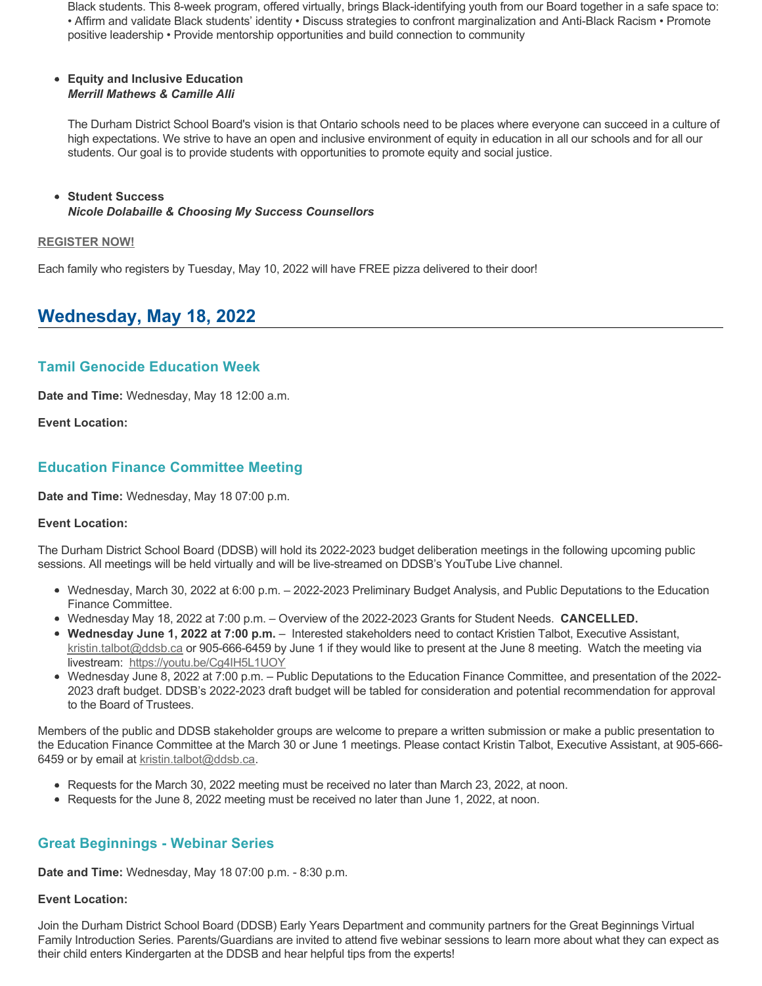Black students. This 8-week program, offered virtually, brings Black-identifying youth from our Board together in a safe space to: • Affirm and validate Black students' identity • Discuss strategies to confront marginalization and Anti-Black Racism • Promote positive leadership • Provide mentorship opportunities and build connection to community

#### **Equity and Inclusive Education** *Merrill Mathews & Camille Alli*

The Durham District School Board's vision is that Ontario schools need to be places where everyone can succeed in a culture of high expectations. We strive to have an open and inclusive environment of equity in education in all our schools and for all our students. Our goal is to provide students with opportunities to promote equity and social justice.

#### **Student Success** *Nicole Dolabaille & Choosing My Success Counsellors*

#### **[REGISTER NOW!](https://ddsb.zoom.us/webinar/register/WN_IO5b2Pe8QCahgj0iOVZjyg)**

Each family who registers by Tuesday, May 10, 2022 will have FREE pizza delivered to their door!

## **Wednesday, May 18, 2022**

## **Tamil Genocide Education Week**

**Date and Time:** Wednesday, May 18 12:00 a.m.

**Event Location:**

## **Education Finance Committee Meeting**

**Date and Time:** Wednesday, May 18 07:00 p.m.

#### **Event Location:**

The Durham District School Board (DDSB) will hold its 2022-2023 budget deliberation meetings in the following upcoming public sessions. All meetings will be held virtually and will be live-streamed on DDSB's YouTube Live channel.

- Wednesday, March 30, 2022 at 6:00 p.m. 2022-2023 Preliminary Budget Analysis, and Public Deputations to the Education Finance Committee.
- Wednesday May 18, 2022 at 7:00 p.m. Overview of the 20222023 Grants for Student Needs. **CANCELLED.**
- **Wednesday June 1, 2022 at 7:00 p.m.** Interested stakeholders need to contact Kristien Talbot, Executive Assistant, [kristin.talbot@ddsb.ca](mailto:kristin.talbot@ddsb.ca) or 905-666-6459 by June 1 if they would like to present at the June 8 meeting. Watch the meeting via livestream: <https://youtu.be/Cg4IH5L1UOY>
- Wednesday June 8, 2022 at 7:00 p.m. Public Deputations to the Education Finance Committee, and presentation of the 2022 2023 draft budget. DDSB's 2022-2023 draft budget will be tabled for consideration and potential recommendation for approval to the Board of Trustees.

Members of the public and DDSB stakeholder groups are welcome to prepare a written submission or make a public presentation to the Education Finance Committee at the March 30 or June 1 meetings. Please contact Kristin Talbot, Executive Assistant, at 905-6666459 or by email at [kristin.talbot@ddsb.ca.](mailto:kristin.talbot@ddsb.ca)

- Requests for the March 30, 2022 meeting must be received no later than March 23, 2022, at noon.
- Requests for the June 8, 2022 meeting must be received no later than June 1, 2022, at noon.

## **Great Beginnings Webinar Series**

**Date and Time:** Wednesday, May 18 07:00 p.m. 8:30 p.m.

#### **Event Location:**

Join the Durham District School Board (DDSB) Early Years Department and community partners for the Great Beginnings Virtual Family Introduction Series. Parents/Guardians are invited to attend five webinar sessions to learn more about what they can expect as their child enters Kindergarten at the DDSB and hear helpful tips from the experts!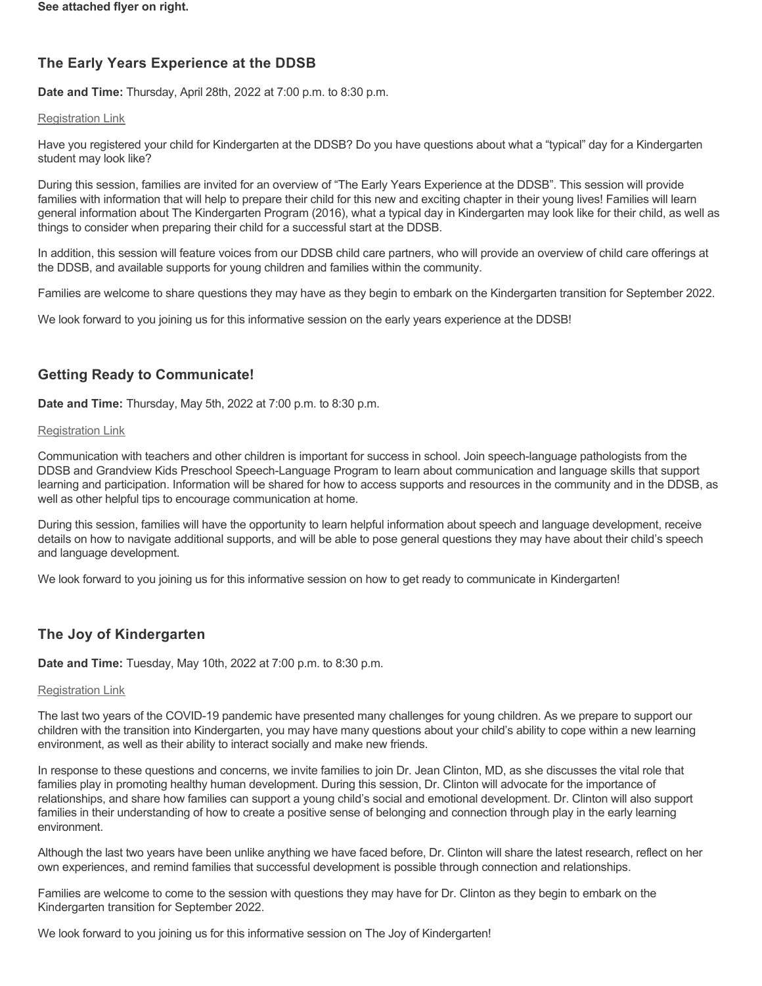## **The Early Years Experience at the DDSB**

**Date and Time:** Thursday, April 28th, 2022 at 7:00 p.m. to 8:30 p.m.

### [Registration Link](https://ddsb.zoom.us/webinar/register/WN_Jen9GfcbRHe2IPWgWIkAzg)

Have you registered your child for Kindergarten at the DDSB? Do you have questions about what a "typical" day for a Kindergarten student may look like?

During this session, families are invited for an overview of "The Early Years Experience at the DDSB". This session will provide families with information that will help to prepare their child for this new and exciting chapter in their young lives! Families will learn general information about The Kindergarten Program (2016), what a typical day in Kindergarten may look like for their child, as well as things to consider when preparing their child for a successful start at the DDSB.

In addition, this session will feature voices from our DDSB child care partners, who will provide an overview of child care offerings at the DDSB, and available supports for young children and families within the community.

Families are welcome to share questions they may have as they begin to embark on the Kindergarten transition for September 2022.

We look forward to you joining us for this informative session on the early years experience at the DDSB!

## **Getting Ready to Communicate!**

**Date and Time:** Thursday, May 5th, 2022 at 7:00 p.m. to 8:30 p.m.

### [Registration Link](https://ddsb.zoom.us/webinar/register/WN_2j_RNYiqTmiZo9eT_nLk1Q)

Communication with teachers and other children is important for success in school. Join speech-language pathologists from the DDSB and Grandview Kids Preschool Speech-Language Program to learn about communication and language skills that support learning and participation. Information will be shared for how to access supports and resources in the community and in the DDSB, as well as other helpful tips to encourage communication at home.

During this session, families will have the opportunity to learn helpful information about speech and language development, receive details on how to navigate additional supports, and will be able to pose general questions they may have about their child's speech and language development.

We look forward to you joining us for this informative session on how to get ready to communicate in Kindergarten!

## **The Joy of Kindergarten**

**Date and Time:** Tuesday, May 10th, 2022 at 7:00 p.m. to 8:30 p.m.

## [Registration Link](https://ddsb.zoom.us/webinar/register/WN_WvSbwnhaT7yWViHDH83sZQ)

The last two years of the COVID-19 pandemic have presented many challenges for young children. As we prepare to support our children with the transition into Kindergarten, you may have many questions about your child's ability to cope within a new learning environment, as well as their ability to interact socially and make new friends.

In response to these questions and concerns, we invite families to join Dr. Jean Clinton, MD, as she discusses the vital role that families play in promoting healthy human development. During this session, Dr. Clinton will advocate for the importance of relationships, and share how families can support a young child's social and emotional development. Dr. Clinton will also support families in their understanding of how to create a positive sense of belonging and connection through play in the early learning environment.

Although the last two years have been unlike anything we have faced before, Dr. Clinton will share the latest research, reflect on her own experiences, and remind families that successful development is possible through connection and relationships.

Families are welcome to come to the session with questions they may have for Dr. Clinton as they begin to embark on the Kindergarten transition for September 2022.

We look forward to you joining us for this informative session on The Joy of Kindergarten!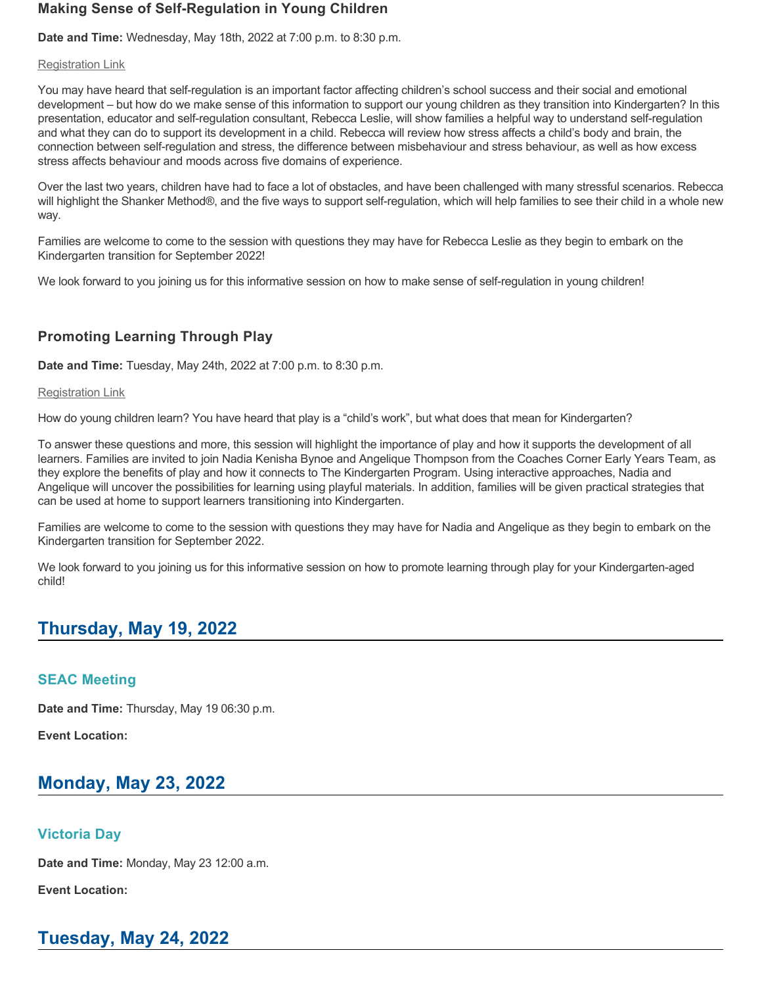### **Making Sense of Self-Regulation in Young Children**

**Date and Time:** Wednesday, May 18th, 2022 at 7:00 p.m. to 8:30 p.m.

#### [Registration Link](https://ddsb.zoom.us/webinar/register/WN_X9GiEYp4Tn-hS6nh0_zQXw)

You may have heard that self-regulation is an important factor affecting children's school success and their social and emotional development – but how do we make sense of this information to support our young children as they transition into Kindergarten? In this presentation, educator and selfregulation consultant, Rebecca Leslie, will show families a helpful way to understand selfregulation and what they can do to support its development in a child. Rebecca will review how stress affects a child's body and brain, the connection between selfregulation and stress, the difference between misbehaviour and stress behaviour, as well as how excess stress affects behaviour and moods across five domains of experience.

Over the last two years, children have had to face a lot of obstacles, and have been challenged with many stressful scenarios. Rebecca will highlight the Shanker Method®, and the five ways to support self-regulation, which will help families to see their child in a whole new way.

Families are welcome to come to the session with questions they may have for Rebecca Leslie as they begin to embark on the Kindergarten transition for September 2022!

We look forward to you joining us for this informative session on how to make sense of self-regulation in young children!

## **Promoting Learning Through Play**

**Date and Time:** Tuesday, May 24th, 2022 at 7:00 p.m. to 8:30 p.m.

#### [Registration Link](https://ddsb.zoom.us/webinar/register/WN_jxUl2E3hRKCReS2DRiGEAQ)

How do young children learn? You have heard that play is a "child's work", but what does that mean for Kindergarten?

To answer these questions and more, this session will highlight the importance of play and how it supports the development of all learners. Families are invited to join Nadia Kenisha Bynoe and Angelique Thompson from the Coaches Corner Early Years Team, as they explore the benefits of play and how it connects to The Kindergarten Program. Using interactive approaches, Nadia and Angelique will uncover the possibilities for learning using playful materials. In addition, families will be given practical strategies that can be used at home to support learners transitioning into Kindergarten.

Families are welcome to come to the session with questions they may have for Nadia and Angelique as they begin to embark on the Kindergarten transition for September 2022.

We look forward to you joining us for this informative session on how to promote learning through play for your Kindergarten-aged child!

## **Thursday, May 19, 2022**

## **SEAC Meeting**

**Date and Time:** Thursday, May 19 06:30 p.m.

**Event Location:**

# **Monday, May 23, 2022**

## **Victoria Day**

**Date and Time:** Monday, May 23 12:00 a.m.

**Event Location:**

# **Tuesday, May 24, 2022**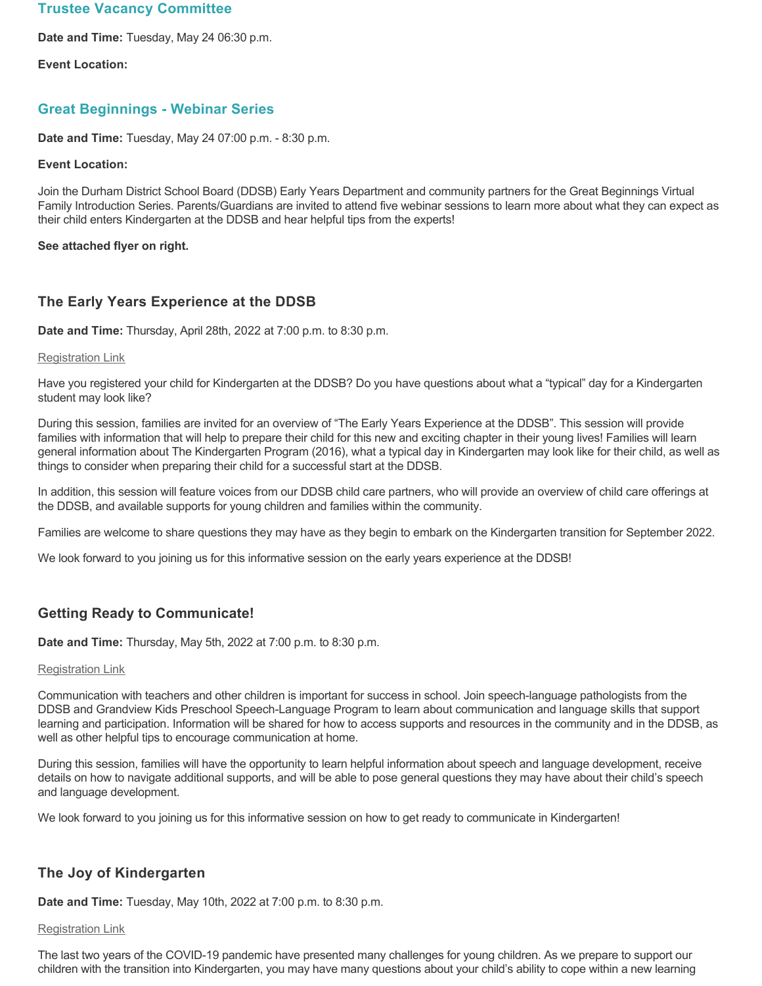### **Trustee Vacancy Committee**

**Date and Time:** Tuesday, May 24 06:30 p.m.

**Event Location:**

### **Great Beginnings Webinar Series**

**Date and Time:** Tuesday, May 24 07:00 p.m. 8:30 p.m.

#### **Event Location:**

Join the Durham District School Board (DDSB) Early Years Department and community partners for the Great Beginnings Virtual Family Introduction Series. Parents/Guardians are invited to attend five webinar sessions to learn more about what they can expect as their child enters Kindergarten at the DDSB and hear helpful tips from the experts!

#### **See attached flyer on right.**

## **The Early Years Experience at the DDSB**

**Date and Time:** Thursday, April 28th, 2022 at 7:00 p.m. to 8:30 p.m.

#### [Registration Link](https://ddsb.zoom.us/webinar/register/WN_Jen9GfcbRHe2IPWgWIkAzg)

Have you registered your child for Kindergarten at the DDSB? Do you have questions about what a "typical" day for a Kindergarten student may look like?

During this session, families are invited for an overview of "The Early Years Experience at the DDSB". This session will provide families with information that will help to prepare their child for this new and exciting chapter in their young lives! Families will learn general information about The Kindergarten Program (2016), what a typical day in Kindergarten may look like for their child, as well as things to consider when preparing their child for a successful start at the DDSB.

In addition, this session will feature voices from our DDSB child care partners, who will provide an overview of child care offerings at the DDSB, and available supports for young children and families within the community.

Families are welcome to share questions they may have as they begin to embark on the Kindergarten transition for September 2022.

We look forward to you joining us for this informative session on the early years experience at the DDSB!

## **Getting Ready to Communicate!**

**Date and Time:** Thursday, May 5th, 2022 at 7:00 p.m. to 8:30 p.m.

### [Registration Link](https://ddsb.zoom.us/webinar/register/WN_2j_RNYiqTmiZo9eT_nLk1Q)

Communication with teachers and other children is important for success in school. Join speech-language pathologists from the DDSB and Grandview Kids Preschool Speech-Language Program to learn about communication and language skills that support learning and participation. Information will be shared for how to access supports and resources in the community and in the DDSB, as well as other helpful tips to encourage communication at home.

During this session, families will have the opportunity to learn helpful information about speech and language development, receive details on how to navigate additional supports, and will be able to pose general questions they may have about their child's speech and language development.

We look forward to you joining us for this informative session on how to get ready to communicate in Kindergarten!

## **The Joy of Kindergarten**

**Date and Time:** Tuesday, May 10th, 2022 at 7:00 p.m. to 8:30 p.m.

## [Registration Link](https://ddsb.zoom.us/webinar/register/WN_WvSbwnhaT7yWViHDH83sZQ)

The last two years of the COVID-19 pandemic have presented many challenges for young children. As we prepare to support our children with the transition into Kindergarten, you may have many questions about your child's ability to cope within a new learning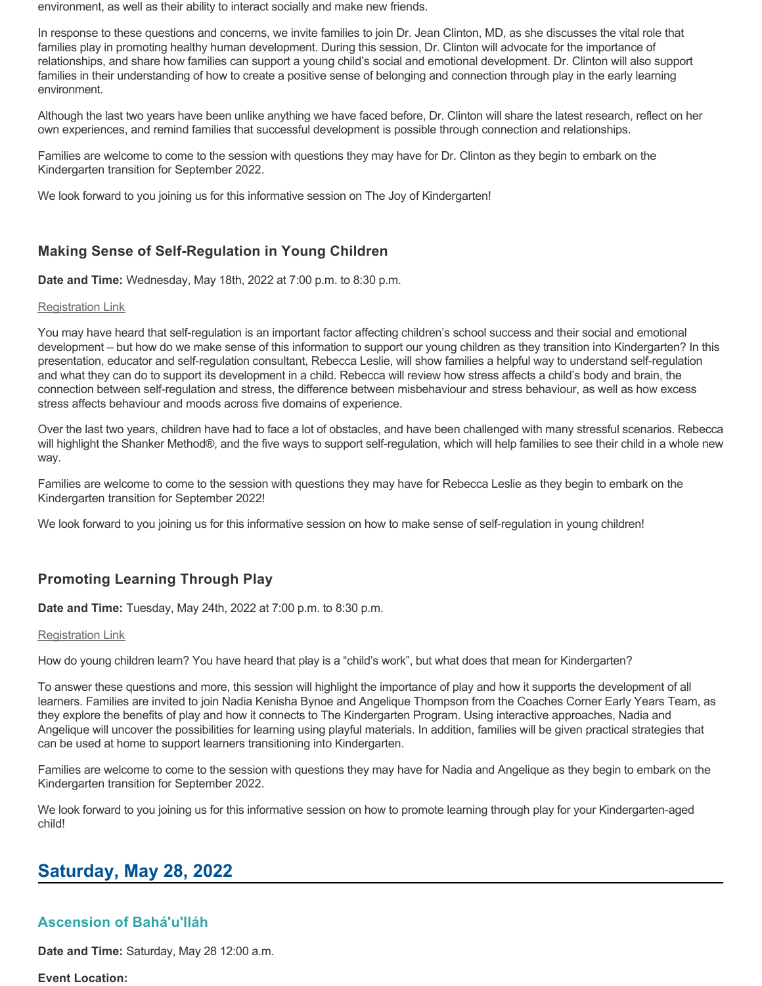environment, as well as their ability to interact socially and make new friends.

In response to these questions and concerns, we invite families to join Dr. Jean Clinton, MD, as she discusses the vital role that families play in promoting healthy human development. During this session, Dr. Clinton will advocate for the importance of relationships, and share how families can support a young child's social and emotional development. Dr. Clinton will also support families in their understanding of how to create a positive sense of belonging and connection through play in the early learning environment.

Although the last two years have been unlike anything we have faced before, Dr. Clinton will share the latest research, reflect on her own experiences, and remind families that successful development is possible through connection and relationships.

Families are welcome to come to the session with questions they may have for Dr. Clinton as they begin to embark on the Kindergarten transition for September 2022.

We look forward to you joining us for this informative session on The Joy of Kindergarten!

## **Making Sense of Self-Regulation in Young Children**

**Date and Time:** Wednesday, May 18th, 2022 at 7:00 p.m. to 8:30 p.m.

#### [Registration Link](https://ddsb.zoom.us/webinar/register/WN_X9GiEYp4Tn-hS6nh0_zQXw)

You may have heard that self-regulation is an important factor affecting children's school success and their social and emotional development – but how do we make sense of this information to support our young children as they transition into Kindergarten? In this presentation, educator and self-regulation consultant, Rebecca Leslie, will show families a helpful way to understand self-regulation and what they can do to support its development in a child. Rebecca will review how stress affects a child's body and brain, the connection between selfregulation and stress, the difference between misbehaviour and stress behaviour, as well as how excess stress affects behaviour and moods across five domains of experience.

Over the last two years, children have had to face a lot of obstacles, and have been challenged with many stressful scenarios. Rebecca will highlight the Shanker Method®, and the five ways to support self-regulation, which will help families to see their child in a whole new way.

Families are welcome to come to the session with questions they may have for Rebecca Leslie as they begin to embark on the Kindergarten transition for September 2022!

We look forward to you joining us for this informative session on how to make sense of self-regulation in young children!

## **Promoting Learning Through Play**

**Date and Time:** Tuesday, May 24th, 2022 at 7:00 p.m. to 8:30 p.m.

#### [Registration Link](https://ddsb.zoom.us/webinar/register/WN_jxUl2E3hRKCReS2DRiGEAQ)

How do young children learn? You have heard that play is a "child's work", but what does that mean for Kindergarten?

To answer these questions and more, this session will highlight the importance of play and how it supports the development of all learners. Families are invited to join Nadia Kenisha Bynoe and Angelique Thompson from the Coaches Corner Early Years Team, as they explore the benefits of play and how it connects to The Kindergarten Program. Using interactive approaches, Nadia and Angelique will uncover the possibilities for learning using playful materials. In addition, families will be given practical strategies that can be used at home to support learners transitioning into Kindergarten.

Families are welcome to come to the session with questions they may have for Nadia and Angelique as they begin to embark on the Kindergarten transition for September 2022.

We look forward to you joining us for this informative session on how to promote learning through play for your Kindergarten-aged child!

## **Saturday, May 28, 2022**

## **Ascension of Bahá'u'lláh**

**Date and Time:** Saturday, May 28 12:00 a.m.

**Event Location:**